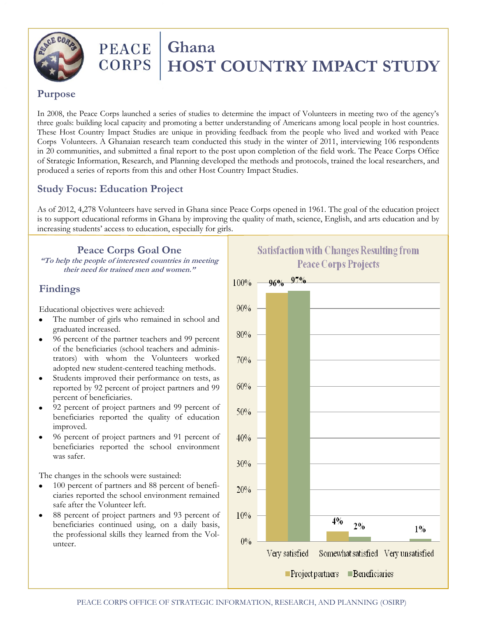

# **PEACE** Ghana<br>CORPS HOST  **HOST COUNTRY IMPACT STUDY**

#### **Purpose**

In 2008, the Peace Corps launched a series of studies to determine the impact of Volunteers in meeting two of the agency's three goals: building local capacity and promoting a better understanding of Americans among local people in host countries. These Host Country Impact Studies are unique in providing feedback from the people who lived and worked with Peace Corps Volunteers. A Ghanaian research team conducted this study in the winter of 2011, interviewing 106 respondents in 20 communities, and submitted a final report to the post upon completion of the field work. The Peace Corps Office of Strategic Information, Research, and Planning developed the methods and protocols, trained the local researchers, and produced a series of reports from this and other Host Country Impact Studies.

## **Study Focus: Education Project**

As of 2012, 4,278 Volunteers have served in Ghana since Peace Corps opened in 1961. The goal of the education project is to support educational reforms in Ghana by improving the quality of math, science, English, and arts education and by increasing students' access to education, especially for girls.

**Peace Corps Goal One "To help the people of interested countries in meeting their need for trained men and women."**

## **Findings**

Educational objectives were achieved:

- The number of girls who remained in school and graduated increased.
- 96 percent of the partner teachers and 99 percent of the beneficiaries (school teachers and administrators) with whom the Volunteers worked adopted new student-centered teaching methods.
- Students improved their performance on tests, as reported by 92 percent of project partners and 99 percent of beneficiaries.
- 92 percent of project partners and 99 percent of beneficiaries reported the quality of education improved.
- 96 percent of project partners and 91 percent of beneficiaries reported the school environment was safer.

The changes in the schools were sustained:

- 100 percent of partners and 88 percent of beneficiaries reported the school environment remained safe after the Volunteer left.
- 88 percent of project partners and 93 percent of beneficiaries continued using, on a daily basis, the professional skills they learned from the Volunteer.



# **Satisfaction with Changes Resulting from**